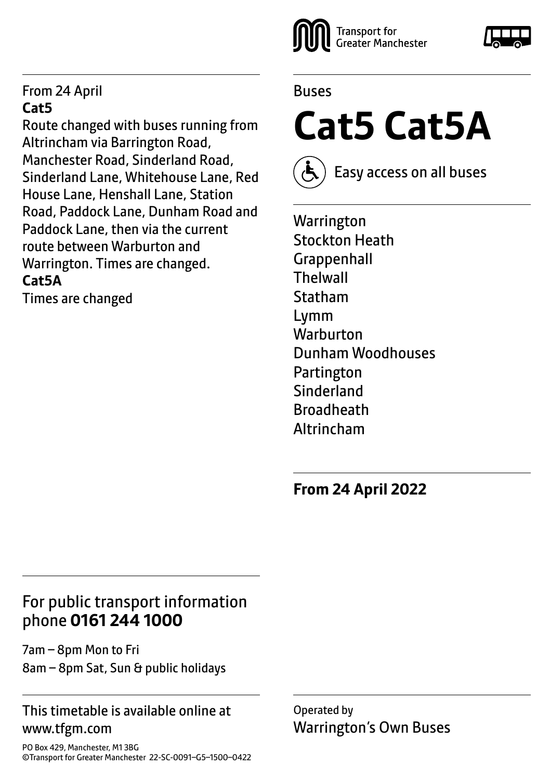#### From 24 April **Cat5**

Route changed with buses running from Altrincham via Barrington Road, Manchester Road, Sinderland Road, Sinderland Lane, Whitehouse Lane, Red House Lane, Henshall Lane, Station Road, Paddock Lane, Dunham Road and Paddock Lane, then via the current route between Warburton and Warrington. Times are changed. **Cat5A**

Times are changed



#### Buses

**Cat5 Cat5A**



Easy access on all buses

**Warrington** Stockton Heath **Grappenhall Thelwall** Statham Lymm **Warburton** Dunham Woodhouses Partington **Sinderland Broadheath** Altrincham

**From 24 April 2022**

#### For public transport information phone **0161 244 1000**

7am – 8pm Mon to Fri 8am – 8pm Sat, Sun & public holidays

#### This timetable is available online at www.tfgm.com

Operated by Warrington's Own Buses

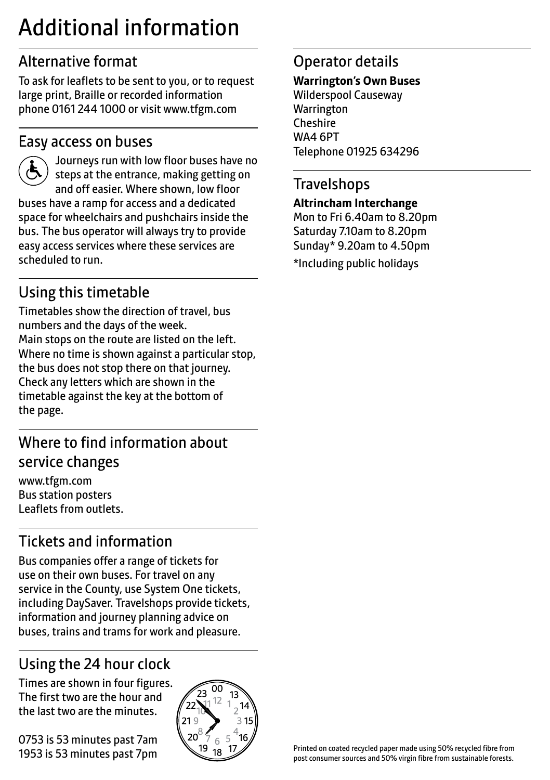## Additional information

## Alternative format

To ask for leaflets to be sent to you, or to request large print, Braille or recorded information phone 0161 244 1000 or visit www.tfgm.com

#### Easy access on buses



 Journeys run with low floor buses have no steps at the entrance, making getting on and off easier. Where shown, low floor buses have a ramp for access and a dedicated space for wheelchairs and pushchairs inside the bus. The bus operator will always try to provide easy access services where these services are scheduled to run.

## Using this timetable

Timetables show the direction of travel, bus numbers and the days of the week. Main stops on the route are listed on the left. Where no time is shown against a particular stop, the bus does not stop there on that journey. Check any letters which are shown in the timetable against the key at the bottom of the page.

## Where to find information about service changes

www.tfgm.com Bus station posters Leaflets from outlets.

## Tickets and information

Bus companies offer a range of tickets for use on their own buses. For travel on any service in the County, use System One tickets, including DaySaver. Travelshops provide tickets, information and journey planning advice on buses, trains and trams for work and pleasure.

## Using the 24 hour clock

Times are shown in four figures. The first two are the hour and the last two are the minutes.

0753 is 53 minutes past 7am 1953 is 53 minutes past 7pm



## Operator details

#### **Warrington's Own Buses**

Wilderspool Causeway **Warrington** Cheshire WA4 6PT Telephone 01925 634296

#### **Travelshops**

#### **Altrincham Interchange**

Mon to Fri 6.40am to 8.20pm Saturday 7.10am to 8.20pm Sunday\* 9.20am to 4.50pm \*Including public holidays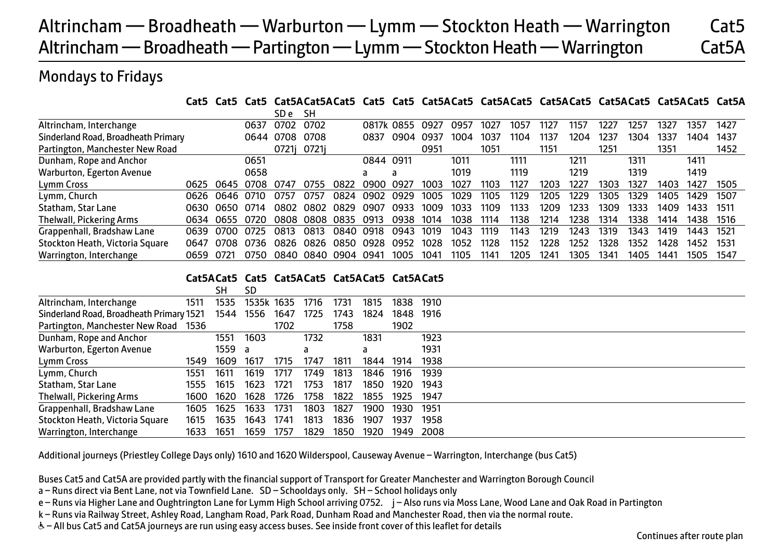## Altrincham — Broadheath — Warburton — Lymm — Stockton Heath — Warrington Cat5 Altrincham — Broadheath — Partington — Lymm — Stockton Heath — Warrington Cat5A

#### Mondays to Fridays

**Cat5 Cat5 Cat5 Cat5ACat5ACat5 Cat5 Cat5 Cat5ACat5 Cat5ACat5 Cat5ACat5 Cat5ACat5 Cat5ACat5 Cat5A**

|                                     |       |      |       | SD e      | SН          |      |            |      |      |      |      |      |      |      |      |      |      |      |      |
|-------------------------------------|-------|------|-------|-----------|-------------|------|------------|------|------|------|------|------|------|------|------|------|------|------|------|
| Altrincham, Interchange             |       |      | 0637  | 0702      | 0702        |      | 0817k 0855 |      | 0927 | 0957 | 1027 | 1057 | 1127 | 1157 | 122. | 1257 | 1327 | 1357 | 1427 |
| Sinderland Road, Broadheath Primary |       |      | 0644  | 0708 0708 |             |      | 0837       | 0904 | 0937 | 1004 | 1037 | 1104 | 1137 | 1204 | 1237 | 1304 | 1337 | 1404 | 1437 |
| Partington, Manchester New Road     |       |      |       |           | 0721j 0721j |      |            |      | 0951 |      | 1051 |      | 1151 |      | 1251 |      | 1351 |      | 1452 |
| Dunham, Rope and Anchor             |       |      | 0651  |           |             |      | 0844 0911  |      |      | 1011 |      | 1111 |      | 1211 |      | 1311 |      | 1411 |      |
| Warburton, Egerton Avenue           |       |      | 0658  |           |             |      | a          |      |      | 1019 |      | 1119 |      | 1219 |      | 1319 |      | 1419 |      |
| Lymm Cross                          | 0625  | 0645 | 0708  | 0747      | 0755        | กลวว | იඉიი       | 0927 | 1003 | 1027 | 1103 | 1127 | 1203 | 1227 | 1303 | 1327 | 1403 | 1427 | 1505 |
| Lymm, Church                        | 0626  | 0646 | 0710  | 0757      | 0757        | 0824 | 0902       | 0929 | 1005 | 1029 | 1105 | 1129 | 1205 | 1229 | 1305 | 1329 | 1405 | 1429 | 1507 |
| Statham, Star Lane                  | 0630. | 0650 | 0714  | 0802      | 0802        | 0829 | 0907       | 0933 | 1009 | 1033 | 1109 | 1133 | 1209 | 1233 | 1309 | 1333 | 1409 | 1433 | 1511 |
| Thelwall, Pickering Arms            | 0634  | 0655 | .0720 | 0808      | 0808        | 0835 | 0913       | 0938 | 1014 | 1038 | 1114 | 1138 | 1214 | 1238 | 1314 | 1338 | 1414 | 1438 | 1516 |
| Grappenhall, Bradshaw Lane          | 0639  | 0700 | 0725  | 0813      | 0813        | 0840 | 0918       | 0943 | 1019 | 1043 | 1119 | 1143 | 1219 | 1243 | 1319 | 1343 | 1419 | 1443 | 1521 |
| Stockton Heath, Victoria Square     | 0647  | 0708 | 0736  | 0826      | 0826        | 0850 | 0928       | 0952 | 1028 | 1052 | 1128 | 1152 | 1228 | 1252 | 1328 | 1352 | 1428 | 1452 | 1531 |
| Warrington, Interchange             | 0659  | 0721 | 0750  | 0840 0840 |             | 0904 | 0941       | 1005 | 1041 | 1105 | 1141 | 1205 | 1241 | 1305 | 1341 | 1405 | 1441 | 1505 | 1547 |

#### **Cat5ACat5 Cat5 Cat5ACat5 Cat5ACat5 Cat5ACat5**

|                                          |      | SН     | SD         |      |      |      |      |      |      |  |
|------------------------------------------|------|--------|------------|------|------|------|------|------|------|--|
| Altrincham, Interchange                  | 1511 | 1535   | 1535k 1635 |      | 1716 | 1731 | 1815 | 1838 | 1910 |  |
| Sinderland Road, Broadheath Primary 1521 |      | 1544   | 1556       | 1647 | 1725 | 1743 | 1824 | 1848 | 1916 |  |
| Partington, Manchester New Road 1536     |      |        |            | 1702 |      | 1758 |      | 1902 |      |  |
| Dunham, Rope and Anchor                  |      | 1551   | 1603       |      | 1732 |      | 1831 |      | 1923 |  |
| Warburton, Egerton Avenue                |      | 1559 a |            |      | a    |      | a    |      | 1931 |  |
| Lymm Cross                               | 1549 | 1609   | 1617       | 1715 | 1747 | 1811 | 1844 | 1914 | 1938 |  |
| Lymm, Church                             | 1551 | 1611   | 1619       | 1717 | 1749 | 1813 | 1846 | 1916 | 1939 |  |
| Statham, Star Lane                       | 1555 | 1615   | 1623       | 1721 | 1753 | 1817 | 1850 | 1920 | 1943 |  |
| Thelwall, Pickering Arms                 | 1600 | 1620   | 1628       | 1726 | 1758 | 1822 | 1855 | 1925 | 1947 |  |
| Grappenhall, Bradshaw Lane               | 1605 | 1625   | 1633       | 1731 | 1803 | 1827 | 1900 | 1930 | 1951 |  |
| Stockton Heath, Victoria Square          | 1615 | 1635   | 1643       | 1741 | 1813 | 1836 | 1907 | 1937 | 1958 |  |
| Warrington, Interchange                  | 1633 | 1651   | 1659       | 1757 | 1829 | 1850 | 1920 | 1949 | 2008 |  |

Additional journeys (Priestley College Days only) 1610 and 1620 Wilderspool, Causeway Avenue – Warrington, Interchange (bus Cat5)

Buses Cat5 and Cat5A are provided partly with the financial support of Transport for Greater Manchester and Warrington Borough Council

- a Runs direct via Bent Lane, not via Townfield Lane. SD Schooldays only. SH School holidays only
- e Runs via Higher Lane and Oughtrington Lane for Lymm High School arriving 0752. j Also runs via Moss Lane, Wood Lane and Oak Road in Partington
- k Runs via Railway Street, Ashley Road, Langham Road, Park Road, Dunham Road and Manchester Road, then via the normal route.
- W– All bus Cat5 and Cat5A journeys are run using easy access buses. See inside front cover of this leaflet for details

Continues after route plan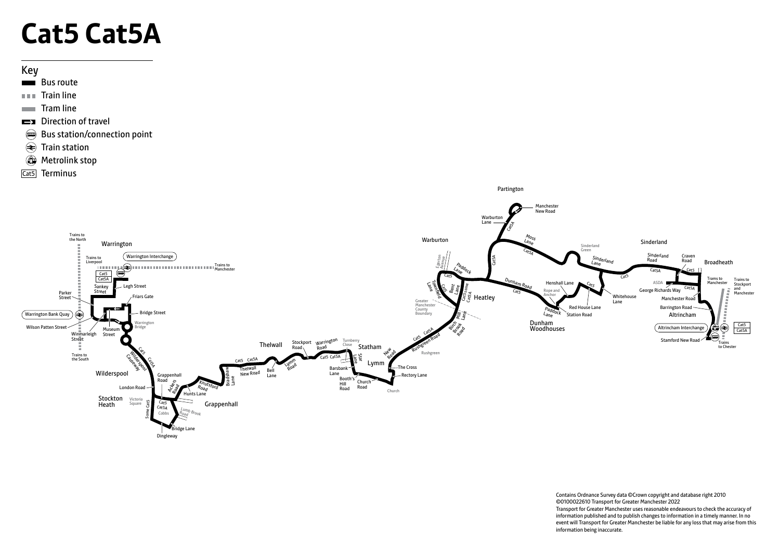# **Cat5 Cat5A**

#### Key

- Bus route
- $\blacksquare$ Train line
- $\blacksquare$  Tram line
- Direction of travel
- Bus station/connection point
- $\circledast$  Train station
- **Wetrolink stop**
- Cat5 Terminus



Contains Ordnance Survey data ©Crown copyright and database right 2010 ©0100022610 Transport for Greater Manchester 2022 Transport for Greater Manchester uses reasonable endeavours to check the accuracy of information published and to publish changes to information in a timely manner. In no event will Transport for Greater Manchester be liable for any loss that may arise from this information being inaccurate.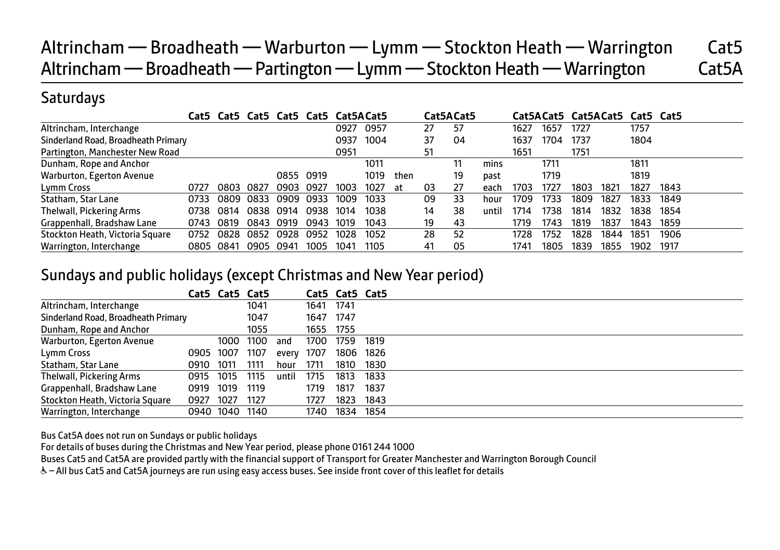## Altrincham — Broadheath — Warburton — Lymm — Stockton Heath — Warrington Cat5 Altrincham — Broadheath — Partington — Lymm — Stockton Heath — Warrington Cat5A

#### **Saturdays**

|                                     |      |      | Cat5 Cat5 Cat5 Cat5 Cat5 Cat5ACat5 |      |      |      |      |      |    | Cat5ACat5 |       |      |      |      | Cat5ACat5 Cat5ACat5 Cat5 Cat5 |      |      |
|-------------------------------------|------|------|------------------------------------|------|------|------|------|------|----|-----------|-------|------|------|------|-------------------------------|------|------|
| Altrincham, Interchange             |      |      |                                    |      |      | 0927 | 0957 |      | 27 | 57        |       | 1627 | 1657 | 1727 |                               | 1757 |      |
| Sinderland Road, Broadheath Primary |      |      |                                    |      |      | 0937 | 1004 |      | 37 | 04        |       | 1637 | 1704 | 1737 |                               | 1804 |      |
| Partington, Manchester New Road     |      |      |                                    |      |      | 0951 |      |      | 51 |           |       | 1651 |      | 1751 |                               |      |      |
| Dunham, Rope and Anchor             |      |      |                                    |      |      |      | 1011 |      |    | 11        | mins  |      | 1711 |      |                               | 1811 |      |
| Warburton, Egerton Avenue           |      |      |                                    | 0855 | 0919 |      | 1019 | then |    | 19        | past  |      | 1719 |      |                               | 1819 |      |
| Lymm Cross                          | 0727 | 0803 | 0827                               | 0903 | 0927 | 1003 | 1027 | at   | 03 | 27        | each  | 1703 | 1727 | 1803 | 1821                          | 1827 | 1843 |
| Statham, Star Lane                  | 0733 | 0809 | 0833                               | 0909 | 0933 | 1009 | 1033 |      | 09 | 33        | hour  | 1709 | 1733 | 1809 | 1827                          | 1833 | 1849 |
| Thelwall, Pickering Arms            | 0738 | 0814 | 0838                               | 0914 | 0938 | 1014 | 1038 |      | 14 | 38        | until | 1714 | 1738 | 1814 | 1832                          | 1838 | 1854 |
| Grappenhall, Bradshaw Lane          | 0743 | 0819 | 0843                               | 0919 | 0943 | 1019 | 1043 |      | 19 | 43        |       | 1719 | 1743 | 1819 | 1837                          | 1843 | 1859 |
| Stockton Heath, Victoria Square     | 0752 | 0828 | 0852                               | 0928 | 0952 | 1028 | 1052 |      | 28 | 52        |       | 1728 | 1752 | 1828 | 1844                          | 1851 | 1906 |
| Warrington, Interchange             | 0805 | 0841 | 0905                               | 0941 | 1005 | 1041 | 1105 |      | 41 | 05        |       | 1741 | 1805 | 1839 | 1855                          | 1902 | 1917 |

#### Sundays and public holidays (except Christmas and New Year period)

|                                     |           |                | Cat5 Cat5 Cat5 |       |           | Cat5 Cat5 Cat5 |      |  |
|-------------------------------------|-----------|----------------|----------------|-------|-----------|----------------|------|--|
| Altrincham, Interchange             |           |                | 1041           |       | 1641 1741 |                |      |  |
| Sinderland Road, Broadheath Primary |           |                | 1047           |       | 1647 1747 |                |      |  |
| Dunham, Rope and Anchor             |           |                | 1055           |       | 1655 1755 |                |      |  |
| Warburton, Egerton Avenue           |           |                | 1000 1100      | and   | 1700      | 1759           | 1819 |  |
| Lymm Cross                          | 0905 1007 |                | 1107           | every | 1707      | 1806           | 1826 |  |
| Statham, Star Lane                  | 0910      | 1011           | 1111           | hour  | 1711      | 1810           | 1830 |  |
| Thelwall, Pickering Arms            | 0915 1015 |                | 1115           | until | 1715      | 1813           | 1833 |  |
| Grappenhall, Bradshaw Lane          | 0919      | 1019           | 1119           |       | 1719      | 1817           | 1837 |  |
| Stockton Heath, Victoria Square     | 0927      | 1027           | 1127           |       | 1727      | 1823           | 1843 |  |
| Warrington, Interchange             |           | 0940 1040 1140 |                |       | 1740      | 1834           | 1854 |  |

Bus Cat5A does not run on Sundays or public holidays

For details of buses during the Christmas and New Year period, please phone 0161 244 1000

Buses Cat5 and Cat5A are provided partly with the financial support of Transport for Greater Manchester and Warrington Borough Council

W– All bus Cat5 and Cat5A journeys are run using easy access buses. See inside front cover of this leaflet for details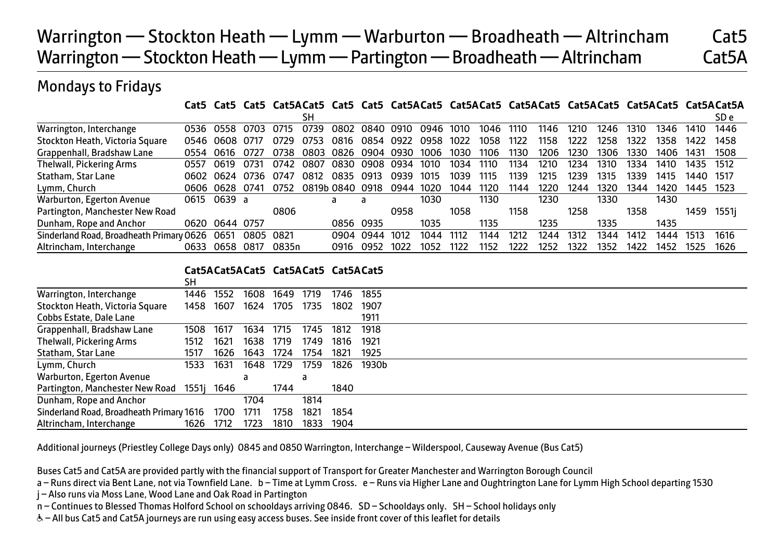## Warrington — Stockton Heath — Lymm — Warburton — Broadheath — Altrincham Cat5 Warrington — Stockton Heath — Lymm — Partington — Broadheath — Altrincham Cat5A

#### Mondays to Fridays

**Cat5 Cat5 Cat5 Cat5ACat5 Cat5 Cat5 Cat5ACat5 Cat5ACat5 Cat5ACat5 Cat5ACat5 Cat5ACat5 Cat5ACat5A**

|                                          |      |           |      |       | SН         |      |           |      |      |      |      |      |      |      |      |      |      |      | SD e  |
|------------------------------------------|------|-----------|------|-------|------------|------|-----------|------|------|------|------|------|------|------|------|------|------|------|-------|
| Warrington, Interchange                  | 0536 | 0558      | 0703 | 0715  | 0739       | 0802 | 0840      | 0910 | 0946 | 1010 | 1046 | 1110 | 1146 | 1210 | 1246 | 1310 | 1346 | 1410 | 1446  |
| Stockton Heath, Victoria Square          | 0546 | 0608      | 0717 | 0729  | 0753       | 0816 | 0854      | 0922 | 0958 | 1022 | 1058 | 1122 | 1158 | 1222 | 1258 | 1322 | 1358 | 1422 | 1458  |
| Grappenhall, Bradshaw Lane               | 0554 | 0616      |      | 0738  | กลกจ       | 0826 | 0904      | 0930 | 1006 | 1030 | 1106 | 1130 | 1206 | 1230 | 1306 | 1330 | 1406 | 1431 | 1508  |
| Thelwall, Pickering Arms                 | 0557 | 0619      | 0731 | 0742  | 0807       | 0830 | 0908      | 0934 | 1010 | 1034 | 1110 | 1134 | 1210 | 1234 | 1310 | 1334 | 1410 | 1435 | 1512  |
| Statham, Star Lane                       | 0602 | 0624      | 0736 | 0747  | 0812       | 0835 | 0913      | 0939 | 1015 | 1039 | 1115 | 1139 | 1215 | 1239 | 1315 | 1339 | 1415 | 1440 | 1517  |
| Lymm, Church                             | 0606 | 0628      | 0741 | 0752  | 0819b 0840 |      | 0918      | 0944 | 1020 | 1044 | 1120 | 1144 | 1220 | 1244 | 1320 | 1344 | 1420 | 1445 | 1523  |
| Warburton, Egerton Avenue                | 0615 | 0639 a    |      |       |            | a    | a         |      | 1030 |      | 1130 |      | 1230 |      | 1330 |      | 1430 |      |       |
| Partington, Manchester New Road          |      |           |      | 0806  |            |      |           | 0958 |      | 1058 |      | 1158 |      | 1258 |      | 1358 |      | 1459 | 1551i |
| Dunham, Rope and Anchor                  | 0620 | 0644 0757 |      |       |            |      | 0856 0935 |      | 1035 |      | 1135 |      | 1235 |      | 1335 |      | 1435 |      |       |
| Sinderland Road, Broadheath Primary 0626 |      | 0651      | 0805 | 0821  |            | 0904 | 0944      | 1012 | 1044 | 1112 | 1144 | 1212 | 1244 | 1312 | 1344 | 1412 | 1444 | 1513 | 1616  |
| Altrincham, Interchange                  | 0633 | 0658      | 0817 | 0835n |            | 0916 | 0952      | 1022 | 1052 | 1122 | 1152 | 1222 | 1252 | 1322 | 1352 | 1422 | 1452 | 1525 | 1626  |

#### **Cat5ACat5ACat5 Cat5ACat5 Cat5ACat5**

|                                          | SH   |            |      |      |      |      |       |  |  |
|------------------------------------------|------|------------|------|------|------|------|-------|--|--|
| Warrington, Interchange                  | 1446 | 1552       | 1608 | 1649 | 1719 | 1746 | 1855  |  |  |
| Stockton Heath, Victoria Square          | 1458 | 1607       | 1624 | 1705 | 1735 | 1802 | 1907  |  |  |
| Cobbs Estate, Dale Lane                  |      |            |      |      |      |      | 1911  |  |  |
| Grappenhall, Bradshaw Lane               | 1508 | 1617       | 1634 | 1715 | 1745 | 1812 | 1918  |  |  |
| Thelwall, Pickering Arms                 | 1512 | 1621       | 1638 | 1719 | 1749 | 1816 | 1921  |  |  |
| Statham, Star Lane                       | 1517 | 1626       | 1643 | 1724 | 1754 | 1821 | 1925  |  |  |
| Lymm, Church                             | 1533 | 1631       | 1648 | 1729 | 1759 | 1826 | 1930b |  |  |
| Warburton, Egerton Avenue                |      |            | d    |      | a    |      |       |  |  |
| Partington, Manchester New Road          |      | 1551j 1646 |      | 1744 |      | 1840 |       |  |  |
| Dunham, Rope and Anchor                  |      |            | 1704 |      | 1814 |      |       |  |  |
| Sinderland Road, Broadheath Primary 1616 |      | 1700       | 1711 | 1758 | 1821 | 1854 |       |  |  |
| Altrincham, Interchange                  | 1626 | 1712       | 1723 | 1810 | 1833 | 1904 |       |  |  |

Additional journeys (Priestley College Days only) 0845 and 0850 Warrington, Interchange – Wilderspool, Causeway Avenue (Bus Cat5)

Buses Cat5 and Cat5A are provided partly with the financial support of Transport for Greater Manchester and Warrington Borough Council

- a Runs direct via Bent Lane, not via Townfield Lane. b Time at Lymm Cross. e Runs via Higher Lane and Oughtrington Lane for Lymm High School departing 1530
- j Also runs via Moss Lane, Wood Lane and Oak Road in Partington
- n Continues to Blessed Thomas Holford School on schooldays arriving 0846. SD Schooldays only. SH School holidays only
- W– All bus Cat5 and Cat5A journeys are run using easy access buses. See inside front cover of this leaflet for details